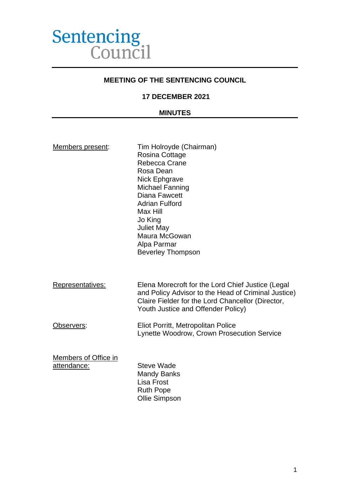

### **MEETING OF THE SENTENCING COUNCIL**

## **17 DECEMBER 2021**

#### **MINUTES**

| Members present: |
|------------------|
|------------------|

Tim Holroyde (Chairman) Rosina Cottage Rebecca Crane Rosa Dean Nick Ephgrave Michael Fanning Diana Fawcett Adrian Fulford Max Hill Jo King Juliet May Maura McGowan Alpa Parmar Beverley Thompson

Representatives: Elena Morecroft for the Lord Chief Justice (Legal and Policy Advisor to the Head of Criminal Justice) Claire Fielder for the Lord Chancellor (Director, Youth Justice and Offender Policy)

## Observers: Eliot Porritt, Metropolitan Police Lynette Woodrow, Crown Prosecution Service

Members of Office in attendance: Steve Wade

Mandy Banks Lisa Frost Ruth Pope Ollie Simpson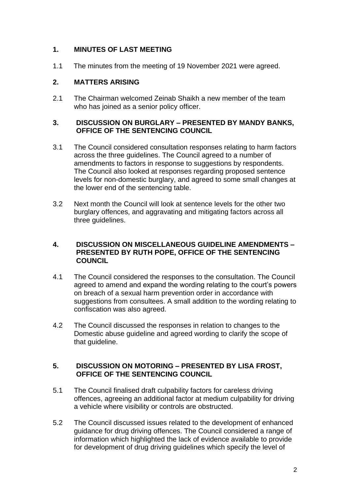# **1. MINUTES OF LAST MEETING**

1.1 The minutes from the meeting of 19 November 2021 were agreed.

# **2. MATTERS ARISING**

2.1 The Chairman welcomed Zeinab Shaikh a new member of the team who has joined as a senior policy officer.

### **3. DISCUSSION ON BURGLARY – PRESENTED BY MANDY BANKS, OFFICE OF THE SENTENCING COUNCIL**

- 3.1 The Council considered consultation responses relating to harm factors across the three guidelines. The Council agreed to a number of amendments to factors in response to suggestions by respondents. The Council also looked at responses regarding proposed sentence levels for non-domestic burglary, and agreed to some small changes at the lower end of the sentencing table.
- 3.2 Next month the Council will look at sentence levels for the other two burglary offences, and aggravating and mitigating factors across all three guidelines.

### **4. DISCUSSION ON MISCELLANEOUS GUIDELINE AMENDMENTS – PRESENTED BY RUTH POPE, OFFICE OF THE SENTENCING COUNCIL**

- 4.1 The Council considered the responses to the consultation. The Council agreed to amend and expand the wording relating to the court's powers on breach of a sexual harm prevention order in accordance with suggestions from consultees. A small addition to the wording relating to confiscation was also agreed.
- 4.2 The Council discussed the responses in relation to changes to the Domestic abuse guideline and agreed wording to clarify the scope of that guideline.

## **5. DISCUSSION ON MOTORING – PRESENTED BY LISA FROST, OFFICE OF THE SENTENCING COUNCIL**

- 5.1 The Council finalised draft culpability factors for careless driving offences, agreeing an additional factor at medium culpability for driving a vehicle where visibility or controls are obstructed.
- 5.2 The Council discussed issues related to the development of enhanced guidance for drug driving offences. The Council considered a range of information which highlighted the lack of evidence available to provide for development of drug driving guidelines which specify the level of